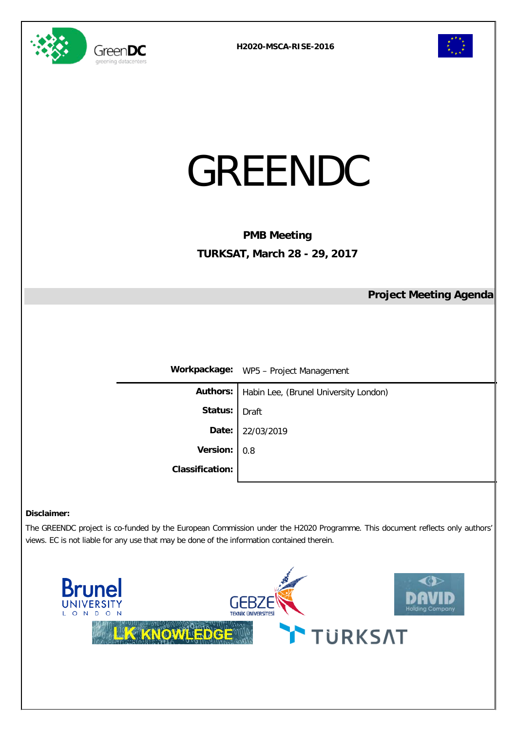



| GREENDC                                                   |  |  |  |  |  |
|-----------------------------------------------------------|--|--|--|--|--|
| <b>PMB Meeting</b><br><b>TURKSAT, March 28 - 29, 2017</b> |  |  |  |  |  |
| <b>Project Meeting Agenda</b>                             |  |  |  |  |  |
| Workpackage: WP5 - Project Management                     |  |  |  |  |  |
| Habin Lee, (Brunel University London)                     |  |  |  |  |  |
| <b>Draft</b>                                              |  |  |  |  |  |
| 22/03/2019                                                |  |  |  |  |  |
| 0.8                                                       |  |  |  |  |  |
|                                                           |  |  |  |  |  |
|                                                           |  |  |  |  |  |

#### **Disclaimer:**

The GREENDC project is co-funded by the European Commission under the H2020 Programme. This document reflects only authors' views. EC is not liable for any use that may be done of the information contained therein.

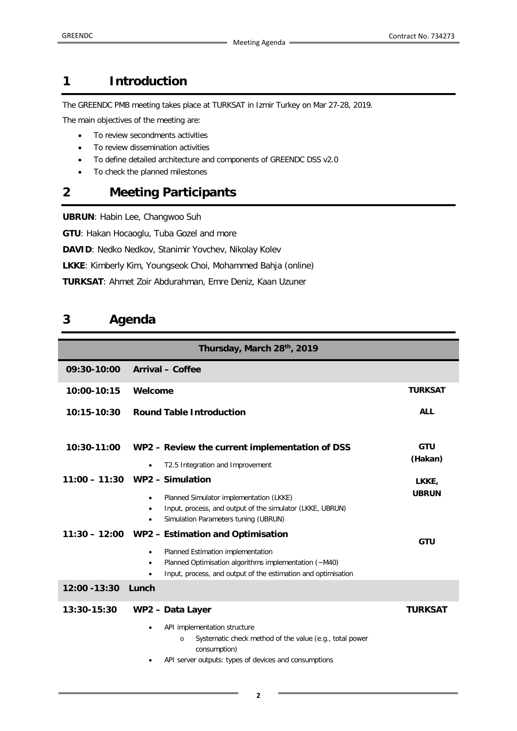#### **1 Introduction**

The GREENDC PMB meeting takes place at TURKSAT in Izmir Turkey on Mar 27-28, 2019.

The main objectives of the meeting are:

- To review secondments activities
- To review dissemination activities
- To define detailed architecture and components of GREENDC DSS v2.0
- To check the planned milestones

## **2 Meeting Participants**

**UBRUN**: Habin Lee, Changwoo Suh

**GTU**: Hakan Hocaoglu, Tuba Gozel and more

**DAVID**: Nedko Nedkov, Stanimir Yovchev, Nikolay Kolev

**LKKE**: Kimberly Kim, Youngseok Choi, Mohammed Bahja (online)

**TURKSAT**: Ahmet Zoir Abdurahman, Emre Deniz, Kaan Uzuner

## **3 Agenda**

| Thursday, March 28th, 2019 |                                                                                                                                                                                    |                       |  |  |
|----------------------------|------------------------------------------------------------------------------------------------------------------------------------------------------------------------------------|-----------------------|--|--|
| 09:30-10:00                | <b>Arrival - Coffee</b>                                                                                                                                                            |                       |  |  |
| 10:00-10:15                | Welcome                                                                                                                                                                            | <b>TURKSAT</b>        |  |  |
| $10:15 - 10:30$            | <b>Round Table Introduction</b>                                                                                                                                                    | <b>ALL</b>            |  |  |
| 10:30-11:00                | WP2 - Review the current implementation of DSS                                                                                                                                     | <b>GTU</b><br>(Hakan) |  |  |
|                            | T2.5 Integration and Improvement                                                                                                                                                   |                       |  |  |
|                            | $11:00 - 11:30$ WP2 – Simulation                                                                                                                                                   | LKKE,                 |  |  |
|                            | Planned Simulator implementation (LKKE)<br>٠<br>Input, process, and output of the simulator (LKKE, UBRUN)<br>٠<br>Simulation Parameters tuning (UBRUN)<br>٠                        | <b>UBRUN</b>          |  |  |
|                            | 11:30 - 12:00 WP2 - Estimation and Optimisation                                                                                                                                    | <b>GTU</b>            |  |  |
|                            | Planned Estimation implementation<br>$\bullet$<br>Planned Optimisation algorithms implementation (~M40)<br>٠<br>Input, process, and output of the estimation and optimisation<br>٠ |                       |  |  |
| 12:00 - 13:30              | Lunch                                                                                                                                                                              |                       |  |  |
| $13:30 - 15:30$            | WP2 - Data Layer                                                                                                                                                                   | <b>TURKSAT</b>        |  |  |
|                            | API implementation structure<br>Systematic check method of the value (e.g., total power<br>$\circ$<br>consumption)<br>API server outputs: types of devices and consumptions<br>٠   |                       |  |  |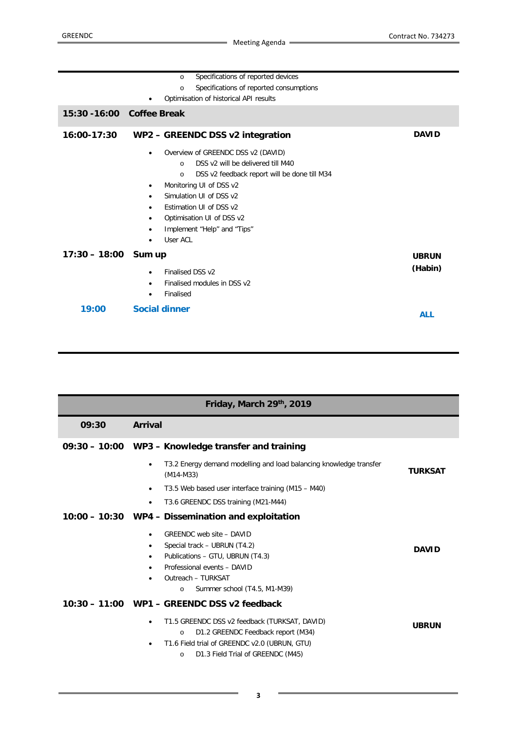|                            | Specifications of reported devices<br>$\circ$            |              |
|----------------------------|----------------------------------------------------------|--------------|
|                            | Specifications of reported consumptions<br>$\circ$       |              |
|                            | Optimisation of historical API results                   |              |
| 15:30 - 16:00 Coffee Break |                                                          |              |
| $16:00 - 17:30$            | WP2 - GREENDC DSS v2 integration                         | <b>DAVID</b> |
|                            | Overview of GREENDC DSS v2 (DAVID)<br>٠                  |              |
|                            | DSS v2 will be delivered till M40<br>$\Omega$            |              |
|                            | DSS v2 feedback report will be done till M34<br>$\Omega$ |              |
|                            | Monitoring UI of DSS v2<br>٠                             |              |
|                            | Simulation UI of DSS v2<br>٠                             |              |
|                            | Estimation UI of DSS v2<br>$\bullet$                     |              |
|                            | Optimisation UI of DSS v2<br>٠                           |              |
|                            | Implement "Help" and "Tips"<br>٠                         |              |
|                            | User ACL                                                 |              |
| $17:30 - 18:00$            | Sum up                                                   | <b>UBRUN</b> |
|                            | Finalised DSS v2<br>٠                                    | (Habin)      |
|                            | Finalised modules in DSS v2<br>$\bullet$                 |              |
|                            | Finalised<br>$\bullet$                                   |              |
| 19:00                      | <b>Social dinner</b>                                     |              |
|                            |                                                          | <b>ALL</b>   |

| Friday, March 29th, 2019 |                                                                                                                                                                                                                                                                          |                |  |  |
|--------------------------|--------------------------------------------------------------------------------------------------------------------------------------------------------------------------------------------------------------------------------------------------------------------------|----------------|--|--|
| 09:30                    | Arrival                                                                                                                                                                                                                                                                  |                |  |  |
|                          | 09:30 - 10:00 WP3 - Knowledge transfer and training                                                                                                                                                                                                                      |                |  |  |
|                          | T3.2 Energy demand modelling and load balancing knowledge transfer<br>$\bullet$<br>$(M14-M33)$                                                                                                                                                                           | <b>TURKSAT</b> |  |  |
|                          | T3.5 Web based user interface training (M15 – M40)<br>$\bullet$                                                                                                                                                                                                          |                |  |  |
|                          | T3.6 GREENDC DSS training (M21-M44)<br>٠                                                                                                                                                                                                                                 |                |  |  |
|                          | 10:00 - 10:30 WP4 - Dissemination and exploitation                                                                                                                                                                                                                       |                |  |  |
|                          | GREENDC web site - DAVID<br>$\bullet$<br>Special track - UBRUN (T4.2)<br>٠<br>Publications - GTU, UBRUN (T4.3)<br>٠<br>Professional events - DAVID<br>Outreach - TURKSAT<br>Summer school (T4.5, M1-M39)<br>$\circ$                                                      | <b>DAVID</b>   |  |  |
|                          | 10:30 - 11:00 WP1 - GREENDC DSS v2 feedback<br>T1.5 GREENDC DSS v2 feedback (TURKSAT, DAVID)<br>$\bullet$<br>D1.2 GREENDC Feedback report (M34)<br>$\circ$<br>T1.6 Field trial of GREENDC v2.0 (UBRUN, GTU)<br>$\bullet$<br>D1.3 Field Trial of GREENDC (M45)<br>$\circ$ | <b>UBRUN</b>   |  |  |